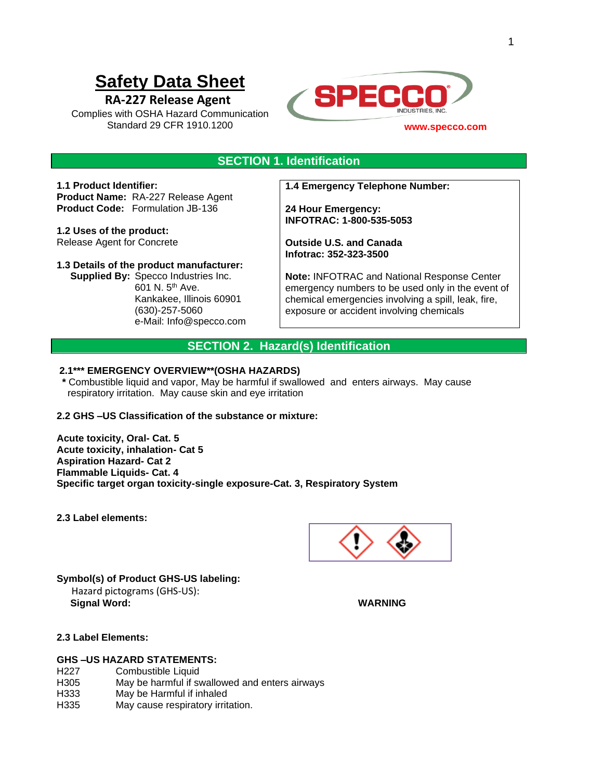# **Safety Data Sheet**

# **RA-227 Release Agent**

Complies with OSHA Hazard Communication Standard 29 CFR 1910.1200



# **SECTION 1. Identification**

**1.1 Product Identifier: Product Name:** RA-227 Release Agent **Product Code:** Formulation JB-136

**1.2 Uses of the product:**  Release Agent for Concrete

#### **1.3 Details of the product manufacturer:**

 **Supplied By:** Specco Industries Inc. 601 N. 5th Ave. Kankakee, Illinois 60901 (630)-257-5060 e-Mail: Info@specco.com **1.4 Emergency Telephone Number:**

**24 Hour Emergency: INFOTRAC: 1-800-535-5053**

**Outside U.S. and Canada Infotrac: 352-323-3500**

**Note:** INFOTRAC and National Response Center emergency numbers to be used only in the event of chemical emergencies involving a spill, leak, fire, exposure or accident involving chemicals

# **SECTION 2. Hazard(s) Identification**

### **2.1\*\*\* EMERGENCY OVERVIEW\*\*(OSHA HAZARDS)**

 **\*** Combustible liquid and vapor, May be harmful if swallowed and enters airways. May cause respiratory irritation. May cause skin and eye irritation

#### **2.2 GHS –US Classification of the substance or mixture:**

**Acute toxicity, Oral- Cat. 5 Acute toxicity, inhalation- Cat 5 Aspiration Hazard- Cat 2 Flammable Liquids- Cat. 4 Specific target organ toxicity-single exposure-Cat. 3, Respiratory System**

**2.3 Label elements:**



**Symbol(s) of Product GHS-US labeling:** Hazard pictograms (GHS-US):  **Signal Word: WARNING**

#### **2.3 Label Elements:**

#### **GHS –US HAZARD STATEMENTS:**

- H227 Combustible Liquid
- H305 May be harmful if swallowed and enters airways
- H333 May be Harmful if inhaled
- H335 May cause respiratory irritation.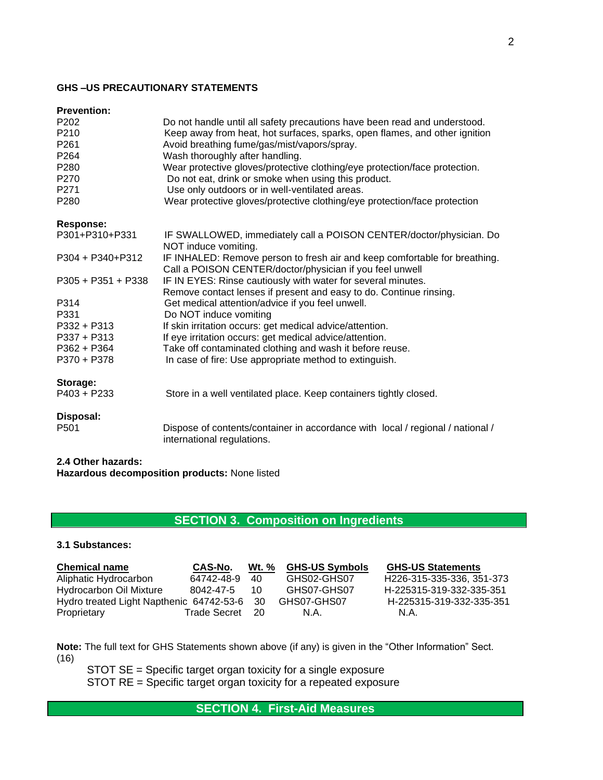# **GHS –US PRECAUTIONARY STATEMENTS**

| <b>Prevention:</b> |  |
|--------------------|--|

| P <sub>202</sub><br>P210<br>P261<br>P264 | Do not handle until all safety precautions have been read and understood.<br>Keep away from heat, hot surfaces, sparks, open flames, and other ignition<br>Avoid breathing fume/gas/mist/vapors/spray.<br>Wash thoroughly after handling. |
|------------------------------------------|-------------------------------------------------------------------------------------------------------------------------------------------------------------------------------------------------------------------------------------------|
| P280                                     | Wear protective gloves/protective clothing/eye protection/face protection.                                                                                                                                                                |
| P270                                     | Do not eat, drink or smoke when using this product.                                                                                                                                                                                       |
| P271                                     | Use only outdoors or in well-ventilated areas.                                                                                                                                                                                            |
| P280                                     | Wear protective gloves/protective clothing/eye protection/face protection                                                                                                                                                                 |
| <b>Response:</b>                         |                                                                                                                                                                                                                                           |
| P301+P310+P331                           | IF SWALLOWED, immediately call a POISON CENTER/doctor/physician. Do<br>NOT induce vomiting.                                                                                                                                               |
| P304 + P340+P312                         | IF INHALED: Remove person to fresh air and keep comfortable for breathing.<br>Call a POISON CENTER/doctor/physician if you feel unwell                                                                                                    |
| $P305 + P351 + P338$                     | IF IN EYES: Rinse cautiously with water for several minutes.<br>Remove contact lenses if present and easy to do. Continue rinsing.                                                                                                        |
| P314                                     | Get medical attention/advice if you feel unwell.                                                                                                                                                                                          |
| P331                                     | Do NOT induce vomiting                                                                                                                                                                                                                    |
| P332 + P313                              | If skin irritation occurs: get medical advice/attention.                                                                                                                                                                                  |
| $P337 + P313$                            | If eye irritation occurs: get medical advice/attention.                                                                                                                                                                                   |
| $P362 + P364$                            | Take off contaminated clothing and wash it before reuse.                                                                                                                                                                                  |
| P370 + P378                              | In case of fire: Use appropriate method to extinguish.                                                                                                                                                                                    |
| Storage:                                 |                                                                                                                                                                                                                                           |
| $P403 + P233$                            | Store in a well ventilated place. Keep containers tightly closed.                                                                                                                                                                         |
| Disposal:                                |                                                                                                                                                                                                                                           |
| P <sub>501</sub>                         | Dispose of contents/container in accordance with local / regional / national /<br>international regulations.                                                                                                                              |

# **2.4 Other hazards:**

**Hazardous decomposition products:** None listed

# **SECTION 3. Composition on Ingredients**

### **3.1 Substances:**

| <b>Chemical name</b>                        | CAS-No.      | <b>Wt.</b> % | <b>GHS-US Symbols</b> | <b>GHS-US Statements</b>               |
|---------------------------------------------|--------------|--------------|-----------------------|----------------------------------------|
| Aliphatic Hydrocarbon                       | 64742-48-9   | 40           | GHS02-GHS07           | H <sub>226</sub> -315-335-336, 351-373 |
| Hydrocarbon Oil Mixture                     | 8042-47-5    | 10           | GHS07-GHS07           | H-225315-319-332-335-351               |
| Hydro treated Light Napthenic 64742-53-6 30 |              |              | GHS07-GHS07           | H-225315-319-332-335-351               |
| Proprietary                                 | Trade Secret | - 20         | N.A.                  | N.A.                                   |

**Note:** The full text for GHS Statements shown above (if any) is given in the "Other Information" Sect. (16)

 STOT SE = Specific target organ toxicity for a single exposure STOT RE = Specific target organ toxicity for a repeated exposure

# **SECTION 4. First-Aid Measures**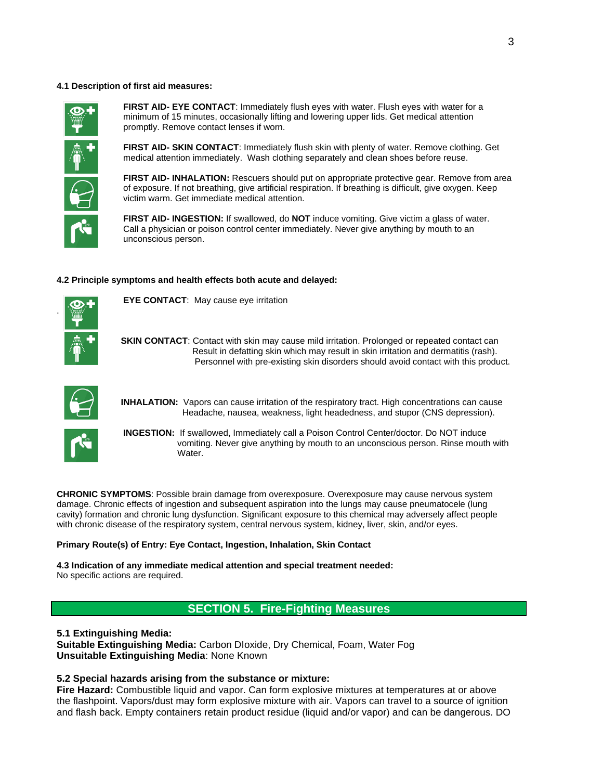#### **4.1 Description of first aid measures:**



**FIRST AID- EYE CONTACT**: Immediately flush eyes with water. Flush eyes with water for a minimum of 15 minutes, occasionally lifting and lowering upper lids. Get medical attention promptly. Remove contact lenses if worn.

**FIRST AID- SKIN CONTACT**: Immediately flush skin with plenty of water. Remove clothing. Get medical attention immediately. Wash clothing separately and clean shoes before reuse.

**FIRST AID- INHALATION:** Rescuers should put on appropriate protective gear. Remove from area of exposure. If not breathing, give artificial respiration. If breathing is difficult, give oxygen. Keep victim warm. Get immediate medical attention.

**FIRST AID- INGESTION:** If swallowed, do **NOT** induce vomiting. Give victim a glass of water. Call a physician or poison control center immediately. Never give anything by mouth to an unconscious person.

#### **4.2 Principle symptoms and health effects both acute and delayed:**



.

**EYE CONTACT**: May cause eye irritation

**SKIN CONTACT:** Contact with skin may cause mild irritation. Prolonged or repeated contact can Result in defatting skin which may result in skin irritation and dermatitis (rash). Personnel with pre-existing skin disorders should avoid contact with this product.



**INHALATION:** Vapors can cause irritation of the respiratory tract. High concentrations can cause Headache, nausea, weakness, light headedness, and stupor (CNS depression).



**INGESTION:** If swallowed, Immediately call a Poison Control Center/doctor. Do NOT induce vomiting. Never give anything by mouth to an unconscious person. Rinse mouth with Water.

**CHRONIC SYMPTOMS**: Possible brain damage from overexposure. Overexposure may cause nervous system damage. Chronic effects of ingestion and subsequent aspiration into the lungs may cause pneumatocele (lung cavity) formation and chronic lung dysfunction. Significant exposure to this chemical may adversely affect people with chronic disease of the respiratory system, central nervous system, kidney, liver, skin, and/or eyes.

#### **Primary Route(s) of Entry: Eye Contact, Ingestion, Inhalation, Skin Contact**

**4.3 Indication of any immediate medical attention and special treatment needed:** No specific actions are required.

# **SECTION 5. Fire-Fighting Measures**

**5.1 Extinguishing Media: Suitable Extinguishing Media:** Carbon DIoxide, Dry Chemical, Foam, Water Fog **Unsuitable Extinguishing Media**: None Known

#### **5.2 Special hazards arising from the substance or mixture:**

**Fire Hazard:** Combustible liquid and vapor. Can form explosive mixtures at temperatures at or above the flashpoint. Vapors/dust may form explosive mixture with air. Vapors can travel to a source of ignition and flash back. Empty containers retain product residue (liquid and/or vapor) and can be dangerous. DO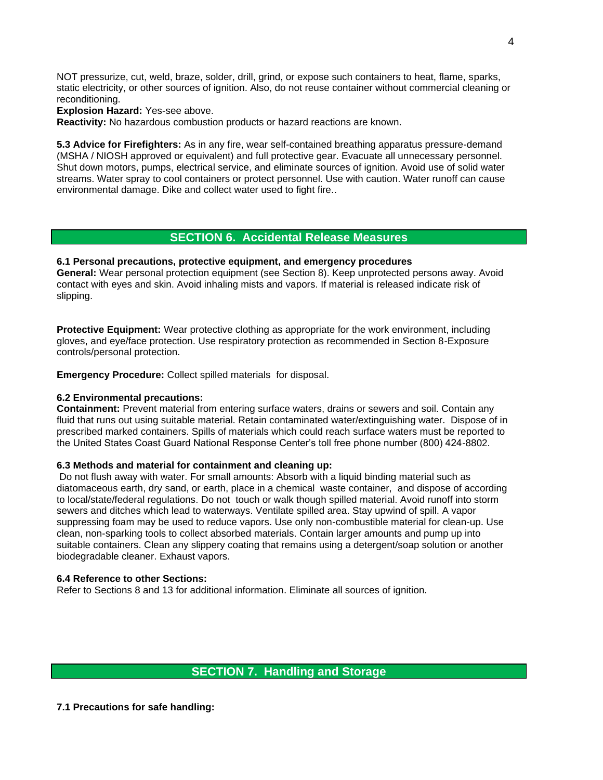NOT pressurize, cut, weld, braze, solder, drill, grind, or expose such containers to heat, flame, sparks, static electricity, or other sources of ignition. Also, do not reuse container without commercial cleaning or reconditioning.

**Explosion Hazard:** Yes-see above.

**Reactivity:** No hazardous combustion products or hazard reactions are known.

**5.3 Advice for Firefighters:** As in any fire, wear self-contained breathing apparatus pressure-demand (MSHA / NIOSH approved or equivalent) and full protective gear. Evacuate all unnecessary personnel. Shut down motors, pumps, electrical service, and eliminate sources of ignition. Avoid use of solid water streams. Water spray to cool containers or protect personnel. Use with caution. Water runoff can cause environmental damage. Dike and collect water used to fight fire..

### **SECTION 6. Accidental Release Measures**

#### **6.1 Personal precautions, protective equipment, and emergency procedures**

**General:** Wear personal protection equipment (see Section 8). Keep unprotected persons away. Avoid contact with eyes and skin. Avoid inhaling mists and vapors. If material is released indicate risk of slipping.

**Protective Equipment:** Wear protective clothing as appropriate for the work environment, including gloves, and eye/face protection. Use respiratory protection as recommended in Section 8-Exposure controls/personal protection.

**Emergency Procedure:** Collect spilled materials for disposal.

#### **6.2 Environmental precautions:**

**Containment:** Prevent material from entering surface waters, drains or sewers and soil. Contain any fluid that runs out using suitable material. Retain contaminated water/extinguishing water. Dispose of in prescribed marked containers. Spills of materials which could reach surface waters must be reported to the United States Coast Guard National Response Center's toll free phone number (800) 424-8802.

#### **6.3 Methods and material for containment and cleaning up:**

Do not flush away with water. For small amounts: Absorb with a liquid binding material such as diatomaceous earth, dry sand, or earth, place in a chemical waste container, and dispose of according to local/state/federal regulations. Do not touch or walk though spilled material. Avoid runoff into storm sewers and ditches which lead to waterways. Ventilate spilled area. Stay upwind of spill. A vapor suppressing foam may be used to reduce vapors. Use only non-combustible material for clean-up. Use clean, non-sparking tools to collect absorbed materials. Contain larger amounts and pump up into suitable containers. Clean any slippery coating that remains using a detergent/soap solution or another biodegradable cleaner. Exhaust vapors.

#### **6.4 Reference to other Sections:**

Refer to Sections 8 and 13 for additional information. Eliminate all sources of ignition.

# **SECTION 7. Handling and Storage**

**7.1 Precautions for safe handling:**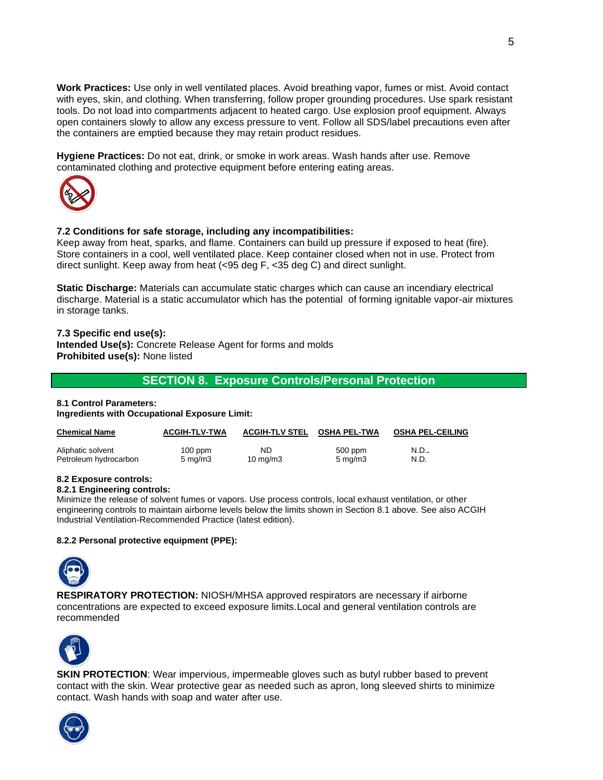**Work Practices:** Use only in well ventilated places. Avoid breathing vapor, fumes or mist. Avoid contact with eyes, skin, and clothing. When transferring, follow proper grounding procedures. Use spark resistant tools. Do not load into compartments adjacent to heated cargo. Use explosion proof equipment. Always open containers slowly to allow any excess pressure to vent. Follow all SDS/label precautions even after the containers are emptied because they may retain product residues.

**Hygiene Practices:** Do not eat, drink, or smoke in work areas. Wash hands after use. Remove contaminated clothing and protective equipment before entering eating areas.



#### **7.2 Conditions for safe storage, including any incompatibilities:**

Keep away from heat, sparks, and flame. Containers can build up pressure if exposed to heat (fire). Store containers in a cool, well ventilated place. Keep container closed when not in use. Protect from direct sunlight. Keep away from heat (<95 deg F, <35 deg C) and direct sunlight.

**Static Discharge:** Materials can accumulate static charges which can cause an incendiary electrical discharge. Material is a static accumulator which has the potential of forming ignitable vapor-air mixtures in storage tanks.

#### **7.3 Specific end use(s): Intended Use(s):** Concrete Release Agent for forms and molds **Prohibited use(s):** None listed

# **SECTION 8. Exposure Controls/Personal Protection**

#### **8.1 Control Parameters: Ingredients with Occupational Exposure Limit:**

| <b>Chemical Name</b>  | <b>ACGIH-TLV-TWA</b> | <b>ACGIH-TLV STEL</b> | <b>OSHA PEL-TWA</b> | <b>OSHA PEL-CEILING</b> |
|-----------------------|----------------------|-----------------------|---------------------|-------------------------|
| Aliphatic solvent     | $100$ ppm            | ND                    | 500 ppm             | N.D.,                   |
| Petroleum hydrocarbon | $5 \,\mathrm{mq/m}$  | $10 \text{ mg/m}$     | $5 \text{ mg/m}$    | N.D.                    |

#### **8.2 Exposure controls:**

#### **8.2.1 Engineering controls:**

Minimize the release of solvent fumes or vapors. Use process controls, local exhaust ventilation, or other engineering controls to maintain airborne levels below the limits shown in Section 8.1 above. See also ACGIH Industrial Ventilation-Recommended Practice (latest edition).

#### **8.2.2 Personal protective equipment (PPE):**



**RESPIRATORY PROTECTION:** NIOSH/MHSA approved respirators are necessary if airborne concentrations are expected to exceed exposure limits.Local and general ventilation controls are recommended



**SKIN PROTECTION:** Wear impervious, impermeable gloves such as butyl rubber based to prevent contact with the skin. Wear protective gear as needed such as apron, long sleeved shirts to minimize contact. Wash hands with soap and water after use.

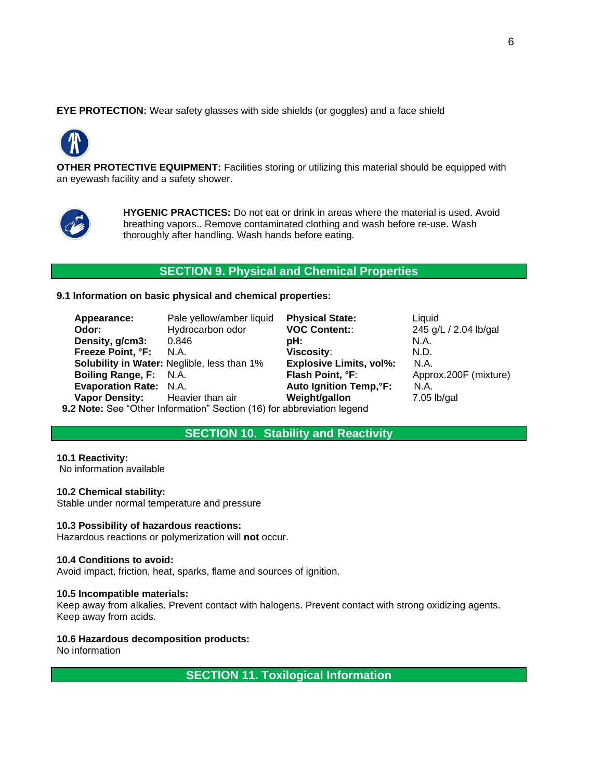**EYE PROTECTION:** Wear safety glasses with side shields (or goggles) and a face shield



**OTHER PROTECTIVE EQUIPMENT:** Facilities storing or utilizing this material should be equipped with an eyewash facility and a safety shower.



**HYGENIC PRACTICES:** Do not eat or drink in areas where the material is used. Avoid breathing vapors.. Remove contaminated clothing and wash before re-use. Wash thoroughly after handling. Wash hands before eating.

# **SECTION 9. Physical and Chemical Properties**

**9.1 Information on basic physical and chemical properties:**

| Appearance:                     | Pale yellow/amber liquid                                             | <b>Physical State:</b>         | Liquid                |
|---------------------------------|----------------------------------------------------------------------|--------------------------------|-----------------------|
| Odor:                           | Hydrocarbon odor                                                     | <b>VOC Content::</b>           | 245 g/L / 2.04 lb/gal |
| Density, g/cm3:                 | 0.846                                                                | pH:⊦                           | N.A.                  |
| Freeze Point, °F: N.A.          |                                                                      | Viscosity:                     | N.D.                  |
|                                 | <b>Solubility in Water: Neglible, less than 1%</b>                   | <b>Explosive Limits, vol%:</b> | N.A.                  |
| <b>Boiling Range, F: N.A.</b>   |                                                                      | <b>Flash Point, °F:</b>        | Approx.200F (mixture) |
| <b>Evaporation Rate: N.A.</b>   |                                                                      | <b>Auto Ignition Temp, °F:</b> | N.A.                  |
| Vapor Density: Heavier than air |                                                                      | Weight/gallon                  | $7.05$ lb/gal         |
|                                 | 2 Note: See "Other Information" Section (16) for abbreviation legend |                                |                       |

 **9.2 Note:** See "Other Information" Section (16) for abbreviation legend

# **SECTION 10. Stability and Reactivity**

**10.1 Reactivity:**

No information available

#### **10.2 Chemical stability:**

Stable under normal temperature and pressure

#### **10.3 Possibility of hazardous reactions:**

Hazardous reactions or polymerization will **not** occur.

#### **10.4 Conditions to avoid:**

Avoid impact, friction, heat, sparks, flame and sources of ignition.

#### **10.5 Incompatible materials:**

Keep away from alkalies. Prevent contact with halogens. Prevent contact with strong oxidizing agents. Keep away from acids.

#### **10.6 Hazardous decomposition products:**

No information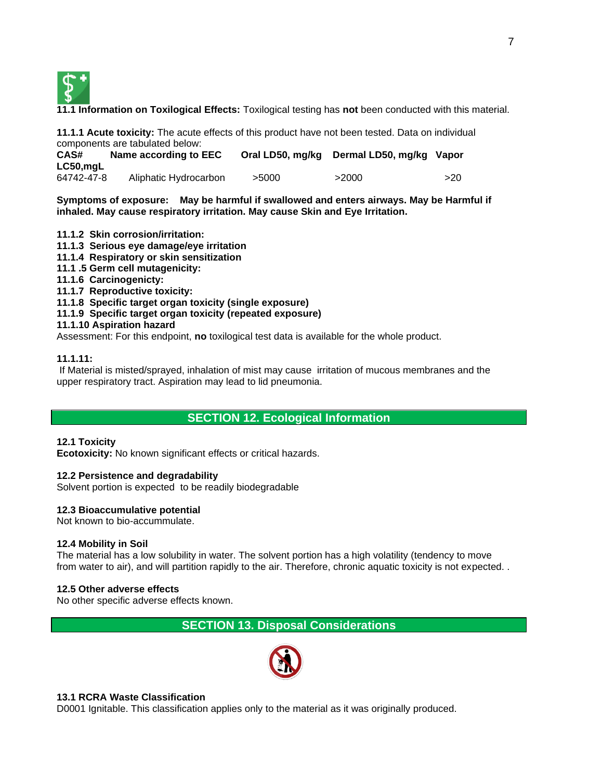

**11.1 Information on Toxilogical Effects:** Toxilogical testing has **not** been conducted with this material.

**11.1.1 Acute toxicity:** The acute effects of this product have not been tested. Data on individual components are tabulated below:

| CAS#<br>Name according to EEC |                       |       | Oral LD50, mg/kg Dermal LD50, mg/kg Vapor |     |  |
|-------------------------------|-----------------------|-------|-------------------------------------------|-----|--|
| $LC50$ , mgL                  |                       |       |                                           |     |  |
| 64742-47-8                    | Aliphatic Hydrocarbon | >5000 | >2000                                     | >20 |  |

**Symptoms of exposure: May be harmful if swallowed and enters airways. May be Harmful if inhaled. May cause respiratory irritation. May cause Skin and Eye Irritation.**

#### **11.1.2 Skin corrosion/irritation:**

- **11.1.3 Serious eye damage/eye irritation**
- **11.1.4 Respiratory or skin sensitization**
- **11.1 .5 Germ cell mutagenicity:**
- **11.1.6 Carcinogenicty:**
- **11.1.7 Reproductive toxicity:**
- **11.1.8 Specific target organ toxicity (single exposure)**
- **11.1.9 Specific target organ toxicity (repeated exposure)**

#### **11.1.10 Aspiration hazard**

Assessment: For this endpoint, **no** toxilogical test data is available for the whole product.

#### **11.1.11:**

If Material is misted/sprayed, inhalation of mist may cause irritation of mucous membranes and the upper respiratory tract. Aspiration may lead to lid pneumonia.

# **SECTION 12. Ecological Information**

#### **12.1 Toxicity**

**Ecotoxicity:** No known significant effects or critical hazards.

#### **12.2 Persistence and degradability**

Solvent portion is expected to be readily biodegradable

#### **12.3 Bioaccumulative potential**

Not known to bio-accummulate.

#### **12.4 Mobility in Soil**

The material has a low solubility in water. The solvent portion has a high volatility (tendency to move from water to air), and will partition rapidly to the air. Therefore, chronic aquatic toxicity is not expected. .

#### **12.5 Other adverse effects**

No other specific adverse effects known.

# **SECTION 13. Disposal Considerations**



#### **13.1 RCRA Waste Classification**

D0001 Ignitable. This classification applies only to the material as it was originally produced.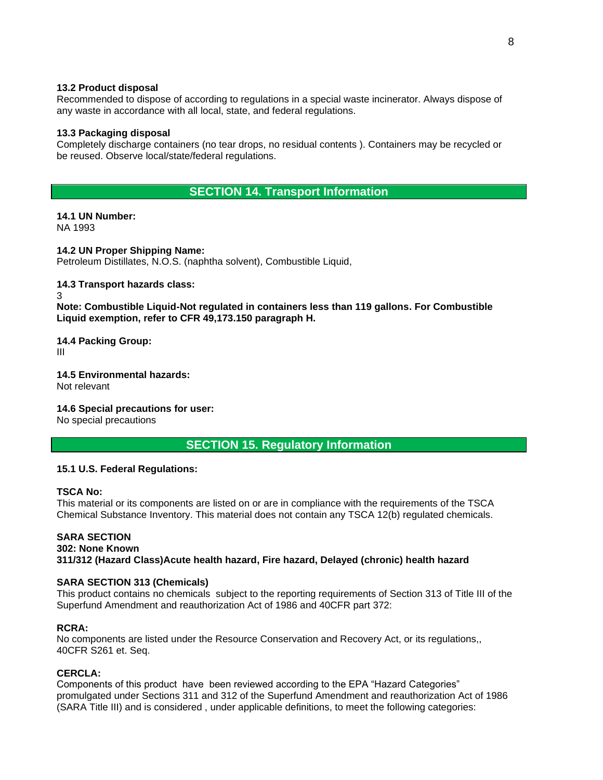#### **13.2 Product disposal**

Recommended to dispose of according to regulations in a special waste incinerator. Always dispose of any waste in accordance with all local, state, and federal regulations.

#### **13.3 Packaging disposal**

Completely discharge containers (no tear drops, no residual contents ). Containers may be recycled or be reused. Observe local/state/federal regulations.

# **SECTION 14. Transport Information**

**14.1 UN Number:** NA 1993

**14.2 UN Proper Shipping Name:** Petroleum Distillates, N.O.S. (naphtha solvent), Combustible Liquid,

#### **14.3 Transport hazards class:**

3

**Note: Combustible Liquid-Not regulated in containers less than 119 gallons. For Combustible Liquid exemption, refer to CFR 49,173.150 paragraph H.**

#### **14.4 Packing Group:**

III

**14.5 Environmental hazards:** Not relevant

#### **14.6 Special precautions for user:**

No special precautions

# **SECTION 15. Regulatory Information**

#### **15.1 U.S. Federal Regulations:**

#### **TSCA No:**

This material or its components are listed on or are in compliance with the requirements of the TSCA Chemical Substance Inventory. This material does not contain any TSCA 12(b) regulated chemicals.

# **SARA SECTION**

#### **302: None Known 311/312 (Hazard Class)Acute health hazard, Fire hazard, Delayed (chronic) health hazard**

#### **SARA SECTION 313 (Chemicals)**

This product contains no chemicals subject to the reporting requirements of Section 313 of Title III of the Superfund Amendment and reauthorization Act of 1986 and 40CFR part 372:

# **RCRA:**

No components are listed under the Resource Conservation and Recovery Act, or its regulations,, 40CFR S261 et. Seq.

# **CERCLA:**

Components of this product have been reviewed according to the EPA "Hazard Categories" promulgated under Sections 311 and 312 of the Superfund Amendment and reauthorization Act of 1986 (SARA Title III) and is considered , under applicable definitions, to meet the following categories: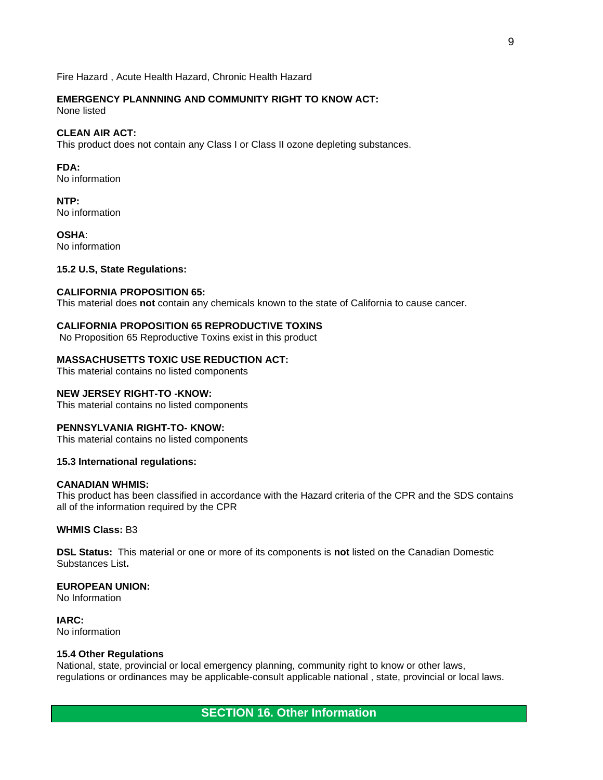Fire Hazard , Acute Health Hazard, Chronic Health Hazard

# **EMERGENCY PLANNNING AND COMMUNITY RIGHT TO KNOW ACT:**

None listed

#### **CLEAN AIR ACT:**

This product does not contain any Class I or Class II ozone depleting substances.

**FDA:** No information

**NTP:** No information

**OSHA**: No information

### **15.2 U.S, State Regulations:**

#### **CALIFORNIA PROPOSITION 65:**

This material does **not** contain any chemicals known to the state of California to cause cancer.

# **CALIFORNIA PROPOSITION 65 REPRODUCTIVE TOXINS**

No Proposition 65 Reproductive Toxins exist in this product

#### **MASSACHUSETTS TOXIC USE REDUCTION ACT:**

This material contains no listed components

#### **NEW JERSEY RIGHT-TO -KNOW:**

This material contains no listed components

#### **PENNSYLVANIA RIGHT-TO- KNOW:**

This material contains no listed components

#### **15.3 International regulations:**

#### **CANADIAN WHMIS:**

This product has been classified in accordance with the Hazard criteria of the CPR and the SDS contains all of the information required by the CPR

#### **WHMIS Class:** B3

**DSL Status:** This material or one or more of its components is **not** listed on the Canadian Domestic Substances List**.**

#### **EUROPEAN UNION:**

No Information

**IARC:** No information

#### **15.4 Other Regulations**

National, state, provincial or local emergency planning, community right to know or other laws, regulations or ordinances may be applicable-consult applicable national , state, provincial or local laws.

# **SECTION 16. Other Information**